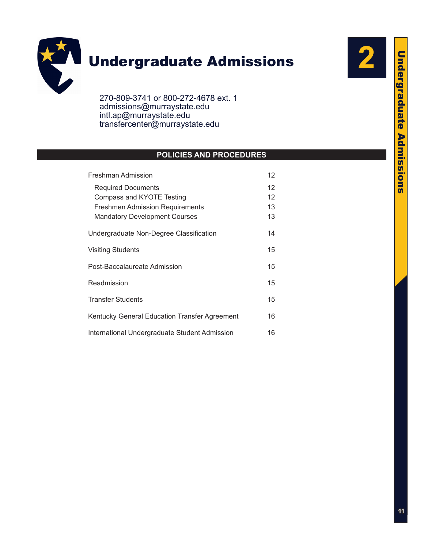

# **Undergraduate Admissions**

270-809-3741 or 800-272-4678 ext. 1 admissions@murraystate.edu intl.ap@murraystate.edu [transfercenter@murraystate.edu](mailto:transfercenter@murraystate.edu)

## **POLICIES AND PROCEDURES**

| Freshman Admission                            |    |  |
|-----------------------------------------------|----|--|
| <b>Required Documents</b>                     | 12 |  |
| Compass and KYOTE Testing                     | 12 |  |
| <b>Freshmen Admission Requirements</b>        | 13 |  |
| <b>Mandatory Development Courses</b>          | 13 |  |
| Undergraduate Non-Degree Classification       | 14 |  |
| <b>Visiting Students</b>                      | 15 |  |
| Post-Baccalaureate Admission                  | 15 |  |
| Readmission                                   | 15 |  |
| <b>Transfer Students</b>                      | 15 |  |
| Kentucky General Education Transfer Agreement | 16 |  |
| International Undergraduate Student Admission | 16 |  |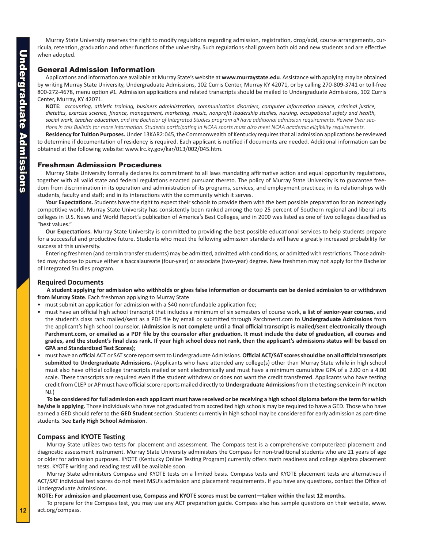<span id="page-1-0"></span>Murray State University reserves the right to modify regulations regarding admission, registration, drop/add, course arrangements, curricula, retention, graduation and other functions of the university. Such regulations shall govern both old and new students and are effective when adopted.

## General Admission Information

Applications and information are available at Murray State's website at **www.murraystate.edu**. Assistance with applying may be obtained by writing Murray State University, Undergraduate Admissions, 102 Curris Center, Murray KY 42071, or by calling 270-809-3741 or toll-free 800-272-4678, menu option #1. Admission applications and related transcripts should be mailed to Undergraduate Admissions, 102 Curris Center, Murray, KY 42071.

**NOTE:** *accounting, athletic training, business administration, communication disorders, computer information science, criminal justice, dietetics, exercise science, finance, management, marketing, music, nonprofit leadership studies, nursing, occupational safety and health, social work, teacher education, and the Bachelor of Integrated Studies program all have additional admission requirements. Review their sections in this Bulletin for more information. Students participating in NCAA sports must also meet NCAA academic eligibility requirements.*

**Residency for Tuition Purposes.** Under 13KAR2:045, the Commonwealth of Kentucky requires that all admission applications be reviewed to determine if documentation of residency is required. Each applicant is notified if documents are needed. Additional information can be obtained at the following website: www.lrc.ky.gov/kar/013/002/045.htm.

## Freshman Admission Procedures

Murray State University formally declares its commitment to all laws mandating affirmative action and equal opportunity regulations, together with all valid state and federal regulations enacted pursuant thereto. The policy of Murray State University is to guarantee freedom from discrimination in its operation and administration of its programs, services, and employment practices; in its relationships with students, faculty and staff; and in its interactions with the community which it serves.

**Your Expectations.** Students have the right to expect their schools to provide them with the best possible preparation for an increasingly competitive world. Murray State University has consistently been ranked among the top 25 percent of Southern regional and liberal arts colleges in U.S. News and World Report's publication of America's Best Colleges, and in 2000 was listed as one of two colleges classified as "best values."

**Our Expectations.** Murray State University is committed to providing the best possible educational services to help students prepare for a successful and productive future. Students who meet the following admission standards will have a greatly increased probability for success at this university.

Entering freshmen (and certain transfer students) may be admitted, admitted with conditions, or admitted with restrictions. Those admitted may choose to pursue either a baccalaureate (four-year) or associate (two-year) degree. New freshmen may not apply for the Bachelor of Integrated Studies program.

## **Required Documents**

**A student applying for admission who withholds or gives false information or documents can be denied admission to or withdrawn from Murray State.** Each freshman applying to Murray State

- must submit an application for admission with a \$40 nonrefundable application fee;
- must have an official high school transcript that includes a minimum of six semesters of course work, **a list of senior-year courses**, and the student's class rank mailed/sent as a PDF file by email or submitted through Parchment.com to **Undergraduate Admissions** from the applicant's high school counselor. (**Admission is not complete until a final official transcript is mailed/sent electronically through Parchment.com, or emailed as a PDF file by the counselor after graduation. It must include the date of graduation, all courses and grades, and the student's final class rank**. **If your high school does not rank, then the applicant's admissions status will be based on GPA and Standardized Test Scores)**;
- must have an official ACT or SAT score report sent to Undergraduate Admissions. **Official ACT/SAT scores should be on all official transcripts submitted to Undergraduate Admissions.** (Applicants who have attended any college(s) other than Murray State while in high school must also have official college transcripts mailed or sent electronically and must have a minimum cumulative GPA of a 2.00 on a 4.00 scale. These transcripts are required even if the student withdrew or does not want the credit transferred. Applicants who have testing credit from CLEP or AP must have official score reports mailed directly to **Undergraduate Admissions** from the testing service in Princeton NJ.)

**To be considered for full admission each applicant must have received or be receiving a high school diploma before the term for which he/she is applying**. Those individuals who have not graduated from accredited high schools may be required to have a GED. Those who have earned a GED should refer to the **GED Student** section. Students currently in high school may be considered for early admission as part-time students. See **Early High School Admission**.

## **Compass and KYOTE Testing**

Murray State utilizes two tests for placement and assessment. The Compass test is a comprehensive computerized placement and diagnostic assessment instrument. Murray State University administers the Compass for non-traditional students who are 21 years of age or older for admission purposes. KYOTE (Kentucky Online Testing Program) currently offers math readiness and college algebra placement tests. KYOTE writing and reading test will be available soon.

Murray State administers Compass and KYOTE tests on a limited basis. Compass tests and KYOTE placement tests are alternatives if ACT/SAT individual test scores do not meet MSU's admission and placement requirements. If you have any questions, contact the Office of Undergraduate Admissions.

**NOTE: For admission and placement use, Compass and KYOTE scores must be current—taken within the last 12 months.**

To prepare for the Compass test, you may use any ACT preparation guide. Compass also has sample questions on their website, www. act.org/compass.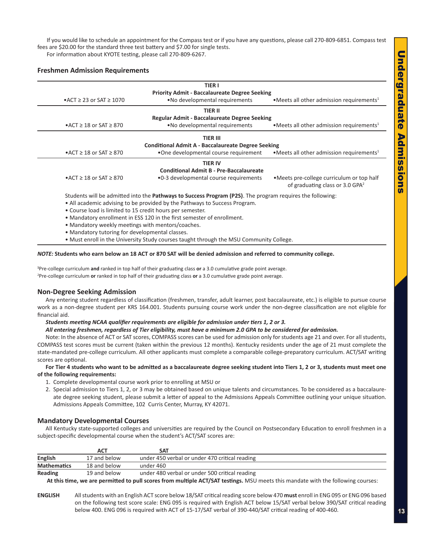<span id="page-2-0"></span>If you would like to schedule an appointment for the Compass test or if you have any questions, please call 270-809-6851. Compass test fees are \$20.00 for the standard three test battery and \$7.00 for single tests.

For information about KYOTE testing, please call 270-809-6267.

## **Freshmen Admission Requirements**

|                                                                                                                   | <b>TIER I</b>                                             |                                                                                           |  |  |  |  |
|-------------------------------------------------------------------------------------------------------------------|-----------------------------------------------------------|-------------------------------------------------------------------------------------------|--|--|--|--|
|                                                                                                                   | <b>Priority Admit - Baccalaureate Degree Seeking</b>      |                                                                                           |  |  |  |  |
| $\triangle$ ACT $\geq$ 23 or SAT $\geq$ 1070                                                                      | • No developmental requirements                           | • Meets all other admission requirements <sup>1</sup>                                     |  |  |  |  |
| <b>TIER II</b>                                                                                                    |                                                           |                                                                                           |  |  |  |  |
|                                                                                                                   | <b>Regular Admit - Baccalaureate Degree Seeking</b>       |                                                                                           |  |  |  |  |
| $\triangle$ ACT $\geq$ 18 or SAT $\geq$ 870                                                                       | . No developmental requirements                           | • Meets all other admission requirements <sup>1</sup>                                     |  |  |  |  |
| TIER III                                                                                                          |                                                           |                                                                                           |  |  |  |  |
|                                                                                                                   | <b>Conditional Admit A - Baccalaureate Degree Seeking</b> |                                                                                           |  |  |  |  |
| $\triangle$ ACT $\geq$ 18 or SAT $\geq$ 870                                                                       | •One developmental course requirement                     | • Meets all other admission requirements <sup>1</sup>                                     |  |  |  |  |
|                                                                                                                   | <b>TIER IV</b>                                            |                                                                                           |  |  |  |  |
|                                                                                                                   | <b>Conditional Admit B - Pre-Baccalaureate</b>            |                                                                                           |  |  |  |  |
| $\triangle$ ACT $\geq$ 18 or SAT $\geq$ 870                                                                       | •0-3 developmental course requirements                    | • Meets pre-college curriculum or top half<br>of graduating class or 3.0 GPA <sup>2</sup> |  |  |  |  |
| Students will be admitted into the <b>Pathways to Success Program (P2S)</b> . The program requires the following: |                                                           |                                                                                           |  |  |  |  |
| • All academic advising to be provided by the Pathways to Success Program.                                        |                                                           |                                                                                           |  |  |  |  |
| • Course load is limited to 15 credit hours per semester.                                                         |                                                           |                                                                                           |  |  |  |  |
| • Mandatory enrollment in ESS 120 in the first semester of enrollment.                                            |                                                           |                                                                                           |  |  |  |  |
| • Mandatory weekly meetings with mentors/coaches.                                                                 |                                                           |                                                                                           |  |  |  |  |
| • Mandatory tutoring for developmental classes.                                                                   |                                                           |                                                                                           |  |  |  |  |

• Must enroll in the University Study courses taught through the MSU Community College.

#### *NOTE:* **Students who earn below an 18 ACT or 870 SAT will be denied admission and referred to community college.**

**1** Pre-college curriculum **and** ranked in top half of their graduating class **or** a 3.0 cumulative grade point average. 2 Pre-college curriculum **or** ranked in top half of their graduating class **or** a 3.0 cumulative grade point average.

#### **Non-Degree Seeking Admission**

Any entering student regardless of classification (freshmen, transfer, adult learner, post baccalaureate, etc.) is eligible to pursue course work as a non-degree student per KRS 164.001. Students pursuing course work under the non-degree classification are not eligible for financial aid.

*Students meeting NCAA qualifier requirements are eligible for admission under tiers 1, 2 or 3.* 

*All entering freshmen, regardless of Tier eligibility, must have a minimum 2.0 GPA to be considered for admission.*

Note: In the absence of ACT or SAT scores, COMPASS scores can be used for admission only for students age 21 and over. For all students, COMPASS test scores must be current (taken within the previous 12 months). Kentucky residents under the age of 21 must complete the state-mandated pre-college curriculum. All other applicants must complete a comparable college-preparatory curriculum. ACT/SAT writing scores are optional.

**For Tier 4 students who want to be admitted as a baccalaureate degree seeking student into Tiers 1, 2 or 3, students must meet one of the following requirements:**

- 1. Complete developmental course work prior to enrolling at MSU or
- 2. Special admission to Tiers 1, 2, or 3 may be obtained based on unique talents and circumstances. To be considered as a baccalaureate degree seeking student, please submit a letter of appeal to the Admissions Appeals Committee outlining your unique situation. Admissions Appeals Committee, 102 Curris Center, Murray, KY 42071.

#### **Mandatory Developmental Courses**

All Kentucky state-supported colleges and universities are required by the Council on Postsecondary Education to enroll freshmen in a subject-specific developmental course when the student's ACT/SAT scores are:

|                    | АСТ          | SAT                                            |  |
|--------------------|--------------|------------------------------------------------|--|
| <b>English</b>     | 17 and below | under 450 verbal or under 470 critical reading |  |
| <b>Mathematics</b> | 18 and below | under 460                                      |  |
| Reading            | 19 and below | under 480 verbal or under 500 critical reading |  |

**At this time, we are permitted to pull scores from multiple ACT/SAT testings.** MSU meets this mandate with the following courses:

**ENGLISH** All students with an English ACT score below 18/SAT critical reading score below 470 **must** enroll in ENG 095 or ENG 096 based on the following test score scale: ENG 095 is required with English ACT below 15/SAT verbal below 390/SAT critical reading below 400. ENG 096 is required with ACT of 15-17/SAT verbal of 390-440/SAT critical reading of 400-460.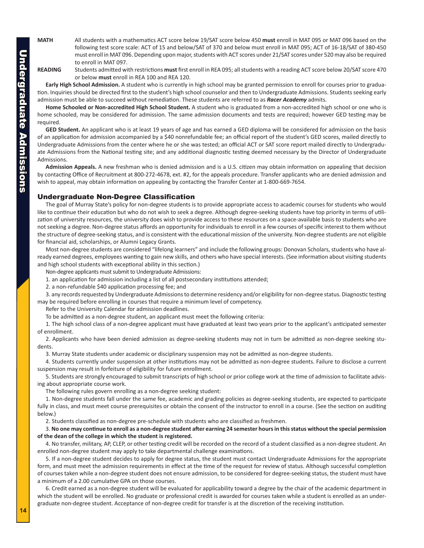<span id="page-3-0"></span>**MATH** All students with a mathematics ACT score below 19/SAT score below 450 **must** enroll in MAT 095 or MAT 096 based on the following test score scale: ACT of 15 and below/SAT of 370 and below must enroll in MAT 095; ACT of 16-18/SAT of 380-450 must enroll in MAT 096. Depending upon major, students with ACT scores under 21/SAT scores under 520 may also be required to enroll in MAT 097.

**READING** Students admitted with restrictions **must** first enroll in REA 095; all students with a reading ACT score below 20/SAT score 470 or below **must** enroll in REA 100 and REA 120.

**Early High School Admission.** A student who is currently in high school may be granted permission to enroll for courses prior to graduation. Inquiries should be directed first to the student's high school counselor and then to Undergraduate Admissions. Students seeking early admission must be able to succeed without remediation. These students are referred to as *Racer Academy* admits.

**Home Schooled or Non-accredited High School Student.** A student who is graduated from a non-accredited high school or one who is home schooled, may be considered for admission. The same admission documents and tests are required; however GED testing may be required.

**GED Student.** An applicant who is at least 19 years of age and has earned a GED diploma will be considered for admission on the basis of an application for admission accompanied by a \$40 nonrefundable fee; an official report of the student's GED scores, mailed directly to Undergraduate Admissions from the center where he or she was tested; an official ACT or SAT score report mailed directly to Undergraduate Admissions from the National testing site; and any additional diagnostic testing deemed necessary by the Director of Undergraduate Admissions.

**Admission Appeals.** A new freshman who is denied admission and is a U.S. citizen may obtain information on appealing that decision by contacting Office of Recruitment at 800-272-4678, ext. #2, for the appeals procedure. Transfer applicants who are denied admission and wish to appeal, may obtain information on appealing by contacting the Transfer Center at 1-800-669-7654.

## Undergraduate Non-Degree Classification

The goal of Murray State's policy for non-degree students is to provide appropriate access to academic courses for students who would like to continue their education but who do not wish to seek a degree. Although degree-seeking students have top priority in terms of utilization of university resources, the university does wish to provide access to these resources on a space-available basis to students who are not seeking a degree. Non-degree status affords an opportunity for individuals to enroll in a few courses of specific interest to them without the structure of degree-seeking status, and is consistent with the educational mission of the university. Non-degree students are not eligible for financial aid, scholarships, or Alumni Legacy Grants.

Most non-degree students are considered "lifelong learners" and include the following groups: Donovan Scholars, students who have already earned degrees, employees wanting to gain new skills, and others who have special interests. (See information about visiting students and high school students with exceptional ability in this section.)

Non-degree applicants must submit to Undergraduate Admissions:

1. an application for admission including a list of all postsecondary institutions attended;

2. a non-refundable \$40 application processing fee; and

3. any records requested by Undergraduate Admissions to determine residency and/or eligibility for non-degree status. Diagnostic testing may be required before enrolling in courses that require a minimum level of competency.

Refer to the University Calendar for admission deadlines.

To be admitted as a non-degree student, an applicant must meet the following criteria:

1. The high school class of a non-degree applicant must have graduated at least two years prior to the applicant's anticipated semester of enrollment.

2. Applicants who have been denied admission as degree-seeking students may not in turn be admitted as non-degree seeking students.

3. Murray State students under academic or disciplinary suspension may not be admitted as non-degree students.

4. Students currently under suspension at other institutions may not be admitted as non-degree students. Failure to disclose a current suspension may result in forfeiture of eligibility for future enrollment.

5. Students are strongly encouraged to submit transcripts of high school or prior college work at the time of admission to facilitate advising about appropriate course work.

The following rules govern enrolling as a non-degree seeking student:

1. Non-degree students fall under the same fee, academic and grading policies as degree-seeking students, are expected to participate fully in class, and must meet course prerequisites or obtain the consent of the instructor to enroll in a course. (See the section on auditing below.)

2. Students classified as non-degree pre-schedule with students who are classified as freshmen.

## 3. **No one may continue to enroll as a non-degree student after earning 24 semester hours in this status without the special permission of the dean of the college in which the student is registered.**

4. No transfer, military, AP, CLEP, or other testing credit will be recorded on the record of a student classified as a non-degree student. An enrolled non-degree student may apply to take departmental challenge examinations.

5. If a non-degree student decides to apply for degree status, the student must contact Undergraduate Admissions for the appropriate form, and must meet the admission requirements in effect at the time of the request for review of status. Although successful completion of courses taken while a non-degree student does not ensure admission, to be considered for degree-seeking status, the student must have a minimum of a 2.00 cumulative GPA on those courses.

6. Credit earned as a non-degree student will be evaluated for applicability toward a degree by the chair of the academic department in which the student will be enrolled. No graduate or professional credit is awarded for courses taken while a student is enrolled as an undergraduate non-degree student. Acceptance of non-degree credit for transfer is at the discretion of the receiving institution.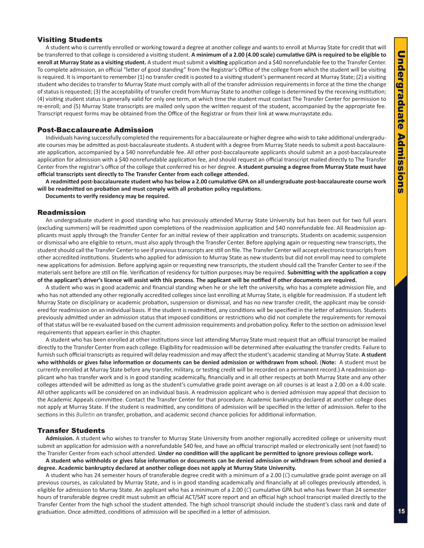## <span id="page-4-0"></span>Visiting Students

A student who is currently enrolled or working toward a degree at another college and wants to enroll at Murray State for credit that will be transferred to that college is considered a visiting student. **A minimum of a 2.00 (4.00 scale) cumulative GPA is required to be eligible to enroll at Murray State as a visiting student.** A student must submit a **visiting** application and a \$40 nonrefundable fee to the Transfer Center. To complete admission, an official "letter of good standing" from the Registrar's Office of the college from which the student will be visiting is required. It is important to remember (1) no transfer credit is posted to a visiting student's permanent record at Murray State; (2) a visiting student who decides to transfer to Murray State must comply with all of the transfer admission requirements in force at the time the change of status is requested; (3) the acceptability of transfer credit from Murray State to another college is determined by the receiving institution; (4) visiting student status is generally valid for only one term, at which time the student must contact The Transfer Center for permission to re-enroll; and (5) Murray State transcripts are mailed only upon the written request of the student, accompanied by the appropriate fee. Transcript request forms may be obtained from the Office of the Registrar or from their link at www.murraystate.edu.

### Post-Baccalaureate Admission

Individuals having successfully completed the requirements for a baccalaureate or higher degree who wish to take additional undergraduate courses may be admitted as post-baccalaureate students. A student with a degree from Murray State needs to submit a post-baccalaureate application, accompanied by a \$40 nonrefundable fee. All other post-baccalaureate applicants should submit an a post-baccalaureate application for admission with a \$40 nonrefundable application fee, and should request an official transcript mailed directly to The Transfer Center from the registrar's office of the college that conferred his or her degree. **A student pursuing a degree from Murray State must have official transcripts sent directly to The Transfer Center from each college attended.** 

**A readmitted post-baccalaureate student who has below a 2.00 cumulative GPA on all undergraduate post-baccalaureate course work will be readmitted on probation and must comply with all probation policy regulations.**

**Documents to verify residency may be required.**

## Readmission

An undergraduate student in good standing who has previously attended Murray State University but has been out for two full years (excluding summers) will be readmitted upon completions of the readmission application and \$40 nonrefundable fee. All Readmission applicants must apply through the Transfer Center for an initial review of their application and transcripts. Students on academic suspension or dismissal who are eligible to return, must also apply through the Transfer Center. Before applying again or requesting new transcripts, the student should call the Transfer Center to see if previous transcripts are still on file. The Transfer Center will accept electronic transcripts from other accredited institutions. Students who applied for admission to Murray State as new students but did not enroll may need to complete new applications for admission. Before applying again or requesting new transcripts, the student should call the Transfer Center to see if the materials sent before are still on file. Verification of residency for tuition purposes may be required. **Submitting with the application a copy of the applicant's driver's licence will assist with this process. The applicant will be notified if other documents are required.**

A student who was in good academic and financial standing when he or she left the university, who has a complete admission file, and who has not attended any other regionally accredited colleges since last enrolling at Murray State, is eligible for readmission. If a student left Murray State on disciplinary or academic probation, suspension or dismissal, and has no new transfer credit, the applicant may be considered for readmission on an individual basis. If the student is readmitted, any conditions will be specified in the letter of admission. Students previously admitted under an admission status that imposed conditions or restrictions who did not complete the requirements for removal of that status will be re-evaluated based on the current admission requirements and probation policy. Refer to the section on admission level requirements that appears earlier in this chapter.

A student who has been enrolled at other institutions since last attending Murray State must request that an official transcript be mailed directly to the Transfer Center from each college. Eligibility for readmission will be determined after evaluating the transfer credits. Failure to furnish such official transcripts as required will delay readmission and may affect the student's academic standing at Murray State. **A student who withholds or gives false information or documents can be denied admission or withdrawn from school.** (**Note:** A student must be currently enrolled at Murray State before any transfer, military, or testing credit will be recorded on a permanent record.) A readmission applicant who has transfer work and is in good standing academically, financially and in all other respects at both Murray State and any other colleges attended will be admitted as long as the student's cumulative grade point average on all courses is at least a 2.00 on a 4.00 scale. All other applicants will be considered on an individual basis. A readmission applicant who is denied admission may appeal that decision to the Academic Appeals committee. Contact the Transfer Center for that procedure. Academic bankruptcy declared at another college does not apply at Murray State. If the student is readmitted, any conditions of admission will be specified in the letter of admission. Refer to the sections in this *Bulletin* on transfer, probation, and academic second chance policies for additional information.

## Transfer Students

**Admission.** A student who wishes to transfer to Murray State University from another regionally accredited college or university must submit an application for admission with a nonrefundable \$40 fee, and have an official transcript mailed or electronically sent (not faxed) to the Transfer Center from each school attended. **Under no condition will the applicant be permitted to ignore previous college work.**

**A student who withholds or gives false information or documents can be denied admission or withdrawn from school and denied a degree. Academic bankruptcy declared at another college does not apply at Murray State University.**

A student who has 24 semester hours of transferable degree credit with a minimum of a 2.00 (*C*) cumulative grade point average on all previous courses, as calculated by Murray State, and is in good standing academically and financially at all colleges previously attended, is eligible for admission to Murray State. An applicant who has a minimum of a 2.00 (*C*) cumulative GPA but who has fewer than 24 semester hours of transferable degree credit must submit an official ACT/SAT score report and an official high school transcript mailed directly to the Transfer Center from the high school the student attended. The high school transcript should include the student's class rank and date of graduation. Once admitted, conditions of admission will be specified in a letter of admission.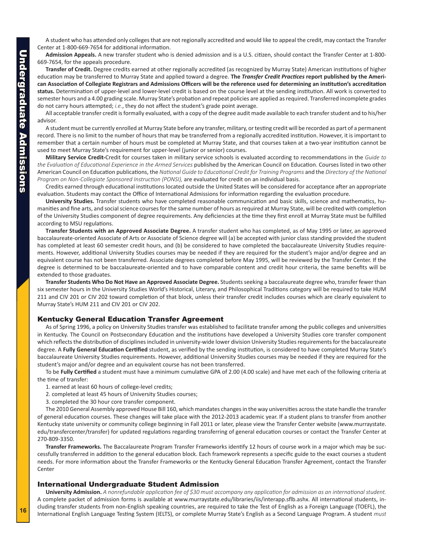<span id="page-5-0"></span>A student who has attended only colleges that are not regionally accredited and would like to appeal the credit, may contact the Transfer Center at 1-800-669-7654 for additional information.

**Admission Appeals.** A new transfer student who is denied admission and is a U.S. citizen, should contact the Transfer Center at 1-800- 669-7654, for the appeals procedure.

**Transfer of Credit.** Degree credits earned at other regionally accredited (as recognized by Murray State) American institutions of higher education may be transferred to Murray State and applied toward a degree. **The** *Transfer Credit Practices* **report published by the American Association of Collegiate Registrars and Admissions Officers will be the reference used for determining an institution's accreditation status.** Determination of upper-level and lower-level credit is based on the course level at the sending institution. All work is converted to semester hours and a 4.00 grading scale. Murray State's probation and repeat policies are applied as required. Transferred incomplete grades do not carry hours attempted; *i.e.*, they do not affect the student's grade point average.

All acceptable transfer credit is formally evaluated, with a copy of the degree audit made available to each transfer student and to his/her advisor.

A student must be currently enrolled at Murray State before any transfer, military, or testing credit will be recorded as part of a permanent record. There is no limit to the number of hours that may be transferred from a regionally accredited institution. However, it is important to remember that a certain number of hours must be completed at Murray State, and that courses taken at a two-year institution cannot be used to meet Murray State's requirement for upper-level (junior or senior) courses.

**Military Service Credit-**Credit for courses taken in military service schools is evaluated according to recommendations in the *Guide to the Evaluation of Educational Experience in the Armed Services* published by the American Council on Education. Courses listed in two other American Council on Education publications, the *National Guide to Educational Credit for Training Programs* and the *Directory of the National Program on Non-Collegiate Sponsored Instruction (PONSI)*, are evaluated for credit on an individual basis.

Credits earned through educational institutions located outside the United States will be considered for acceptance after an appropriate evaluation. Students may contact the Office of International Admissions for information regarding the evaluation procedure.

**University Studies.** Transfer students who have completed reasonable communication and basic skills, science and mathematics, humanities and fine arts, and social science courses for the same number of hours as required at Murray State, will be credited with completion of the University Studies component of degree requirements. Any deficiencies at the time they first enroll at Murray State must be fulfilled according to MSU regulations.

**Transfer Students with an Approved Associate Degree.** A transfer student who has completed, as of May 1995 or later, an approved baccalaureate-oriented Associate of Arts or Associate of Science degree will (a) be accepted with junior class standing provided the student has completed at least 60 semester credit hours, and (b) be considered to have completed the baccalaureate University Studies requirements. However, additional University Studies courses may be needed if they are required for the student's major and/or degree and an equivalent course has not been transferred. Associate degrees completed before May 1995, will be reviewed by the Transfer Center. If the degree is determined to be baccalaureate-oriented and to have comparable content and credit hour criteria, the same benefits will be extended to those graduates.

**Transfer Students Who Do Not Have an Approved Associate Degree.** Students seeking a baccalaureate degree who, transfer fewer than six semester hours in the University Studies World's Historical, Literary, and Philosophical Traditions category will be required to take HUM 211 and CIV 201 or CIV 202 toward completion of that block, unless their transfer credit includes courses which are clearly equivalent to Murray State's HUM 211 and CIV 201 or CIV 202.

#### Kentucky General Education Transfer Agreement

As of Spring 1996, a policy on University Studies transfer was established to facilitate transfer among the public colleges and universities in Kentucky. The Council on Postsecondary Education and the institutions have developed a University Studies core transfer component which reflects the distribution of disciplines included in university-wide lower division University Studies requirements for the baccalaureate degree. A **Fully General Education Certified** student, as verified by the sending institution, is considered to have completed Murray State's baccalaureate University Studies requirements. However, additional University Studies courses may be needed if they are required for the student's major and/or degree and an equivalent course has not been transferred.

To be **Fully Certified** a student must have a minimum cumulative GPA of 2.00 (4.00 scale) and have met each of the following criteria at the time of transfer:

1. earned at least 60 hours of college-level credits;

2. completed at least 45 hours of University Studies courses;

3. completed the 30 hour core transfer component.

The 2010 General Assembly approved House Bill 160, which mandates changes in the way universities across the state handle the transfer of general education courses. These changes will take place with the 2012-2013 academic year. If a student plans to transfer from another Kentucky state university or community college beginning in Fall 2011 or later, please view the Transfer Center website (www.murraystate. edu/transfercenter/transfer) for updated regulations regarding transferring of general education courses or contact the Transfer Center at 270-809-3350.

**Transfer Frameworks.** The Baccalaureate Program Transfer Frameworks identify 12 hours of course work in a major which may be successfully transferred in addition to the general education block. Each framework represents a specific guide to the exact courses a student needs. For more information about the Transfer Frameworks or the Kentucky General Education Transfer Agreement, contact the Transfer Center

#### International Undergraduate Student Admission

**University Admission.** *A nonrefundable application fee of \$30 must accompany any application for admission as an international student.*  A complete packet of admission forms is available at www.murraystate.edu/libraries/iis/interapp.sflb.ashx. All international students, including transfer students from non-English speaking countries, are required to take the Test of English as a Foreign Language (TOEFL), the International English Language Testing System (IELTS), or complete Murray State's English as a Second Language Program. A student *must*